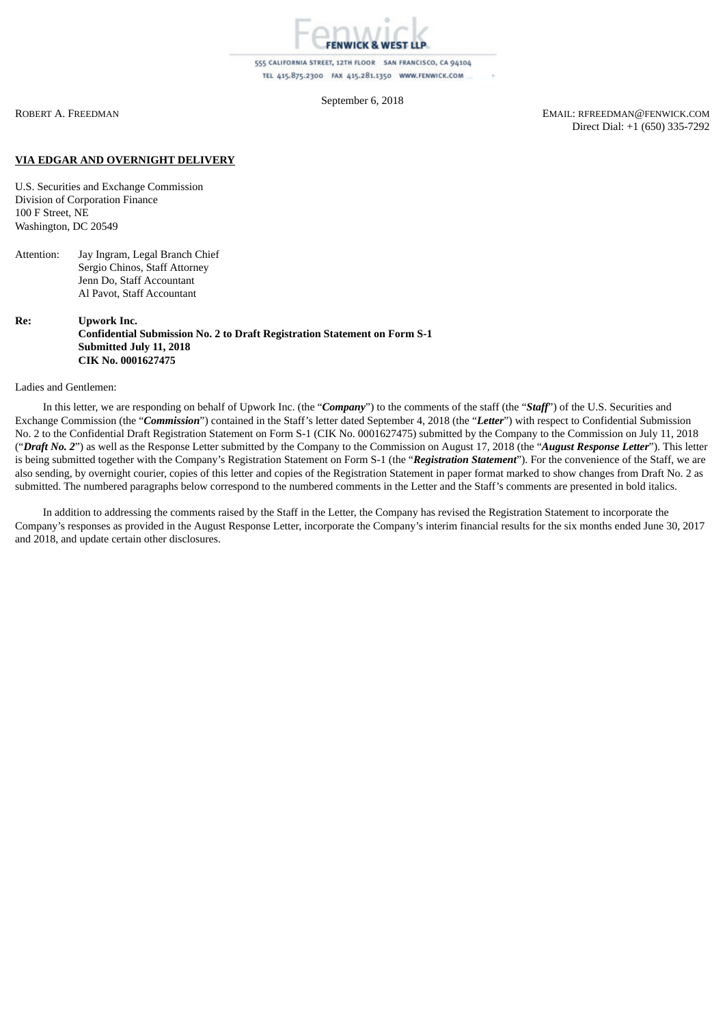555 CALIFORNIA STREET, 12TH FLOOR SAN FRANCISCO, CA 94104 TEL 415.875.2300 FAX 415.281.1350 WWW.FENWICK.COM

September 6, 2018

ROBERT A. FREEDMAN EMAIL: RFREEDMAN@FENWICK.COM Direct Dial: +1 (650) 335-7292

## **VIA EDGAR AND OVERNIGHT DELIVERY**

U.S. Securities and Exchange Commission Division of Corporation Finance 100 F Street, NE Washington, DC 20549

Attention: Jay Ingram, Legal Branch Chief Sergio Chinos, Staff Attorney Jenn Do, Staff Accountant Al Pavot, Staff Accountant

**Re: Upwork Inc. Confidential Submission No. 2 to Draft Registration Statement on Form S-1 Submitted July 11, 2018 CIK No. 0001627475**

Ladies and Gentlemen:

In this letter, we are responding on behalf of Upwork Inc. (the "*Company*") to the comments of the staff (the "*Staff*") of the U.S. Securities and Exchange Commission (the "*Commission*") contained in the Staff's letter dated September 4, 2018 (the "*Letter*") with respect to Confidential Submission No. 2 to the Confidential Draft Registration Statement on Form S-1 (CIK No. 0001627475) submitted by the Company to the Commission on July 11, 2018 ("*Draft No. 2*") as well as the Response Letter submitted by the Company to the Commission on August 17, 2018 (the "*August Response Letter*"). This letter is being submitted together with the Company's Registration Statement on Form S-1 (the "*Registration Statement*"). For the convenience of the Staff, we are also sending, by overnight courier, copies of this letter and copies of the Registration Statement in paper format marked to show changes from Draft No. 2 as submitted. The numbered paragraphs below correspond to the numbered comments in the Letter and the Staff's comments are presented in bold italics.

In addition to addressing the comments raised by the Staff in the Letter, the Company has revised the Registration Statement to incorporate the Company's responses as provided in the August Response Letter, incorporate the Company's interim financial results for the six months ended June 30, 2017 and 2018, and update certain other disclosures.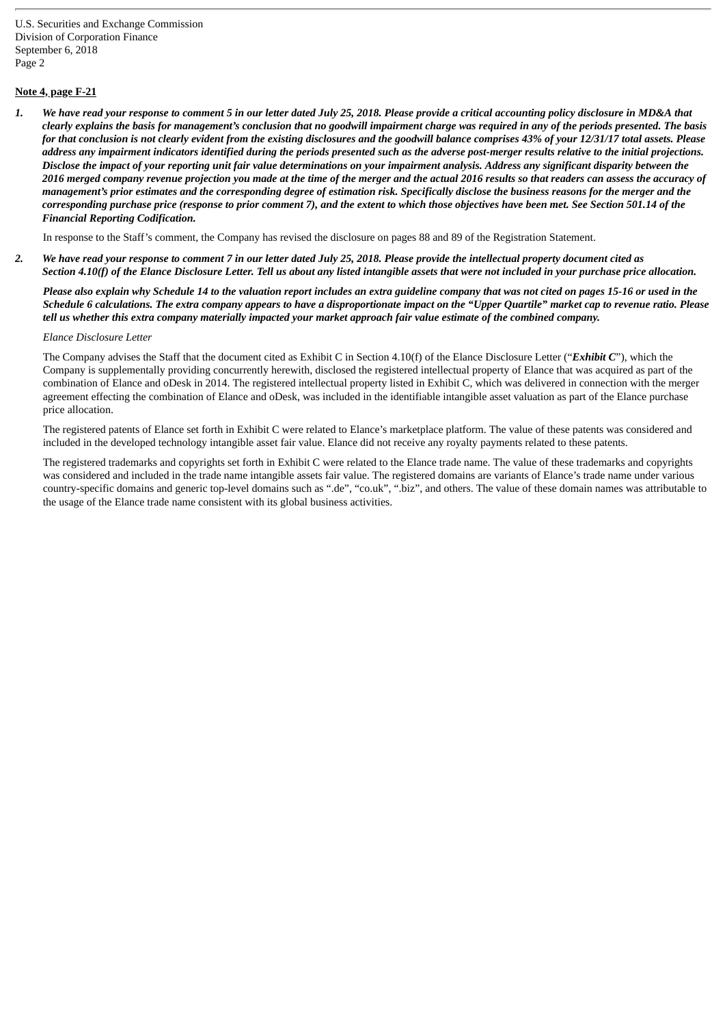U.S. Securities and Exchange Commission Division of Corporation Finance September 6, 2018 Page 2

## **Note 4, page F-21**

1. We have read your response to comment 5 in our letter dated July 25, 2018. Please provide a critical accounting policy disclosure in MD&A that clearly explains the basis for management's conclusion that no goodwill impairment charge was required in any of the periods presented. The basis for that conclusion is not clearly evident from the existing disclosures and the goodwill balance comprises 43% of your 12/31/17 total assets. Please address any impairment indicators identified during the periods presented such as the adverse post-merger results relative to the initial projections. Disclose the impact of your reporting unit fair value determinations on your impairment analysis. Address any significant disparity between the 2016 merged company revenue projection you made at the time of the merger and the actual 2016 results so that readers can assess the accuracy of management's prior estimates and the corresponding degree of estimation risk. Specifically disclose the business reasons for the merger and the corresponding purchase price (response to prior comment 7), and the extent to which those objectives have been met. See Section 501.14 of the *Financial Reporting Codification.*

In response to the Staff's comment, the Company has revised the disclosure on pages 88 and 89 of the Registration Statement.

2. We have read your response to comment 7 in our letter dated July 25, 2018. Please provide the intellectual property document cited as Section 4.10(f) of the Elance Disclosure Letter. Tell us about any listed intangible assets that were not included in your purchase price allocation.

Please also explain why Schedule 14 to the valuation report includes an extra quideline company that was not cited on pages 15-16 or used in the Schedule 6 calculations. The extra company appears to have a disproportionate impact on the "Upper Quartile" market cap to revenue ratio. Please tell us whether this extra company materially impacted your market approach fair value estimate of the combined company.

## *Elance Disclosure Letter*

The Company advises the Staff that the document cited as Exhibit C in Section 4.10(f) of the Elance Disclosure Letter ("*Exhibit C*"), which the Company is supplementally providing concurrently herewith, disclosed the registered intellectual property of Elance that was acquired as part of the combination of Elance and oDesk in 2014. The registered intellectual property listed in Exhibit C, which was delivered in connection with the merger agreement effecting the combination of Elance and oDesk, was included in the identifiable intangible asset valuation as part of the Elance purchase price allocation.

The registered patents of Elance set forth in Exhibit C were related to Elance's marketplace platform. The value of these patents was considered and included in the developed technology intangible asset fair value. Elance did not receive any royalty payments related to these patents.

The registered trademarks and copyrights set forth in Exhibit C were related to the Elance trade name. The value of these trademarks and copyrights was considered and included in the trade name intangible assets fair value. The registered domains are variants of Elance's trade name under various country-specific domains and generic top-level domains such as ".de", "co.uk", ".biz", and others. The value of these domain names was attributable to the usage of the Elance trade name consistent with its global business activities.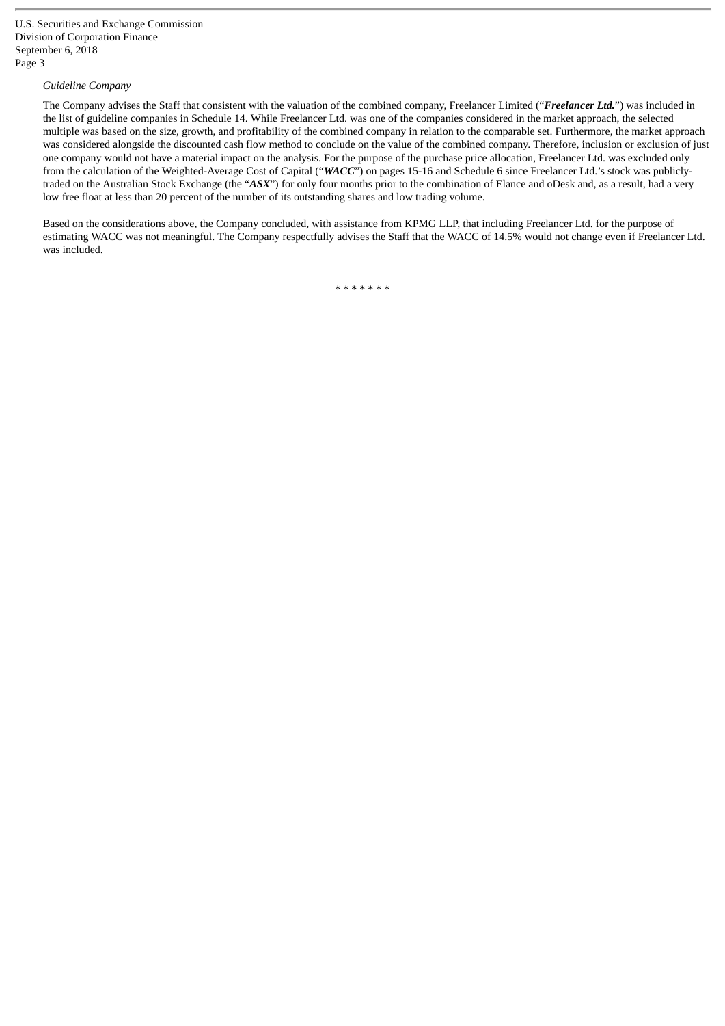## *Guideline Company*

The Company advises the Staff that consistent with the valuation of the combined company, Freelancer Limited ("*Freelancer Ltd.*") was included in the list of guideline companies in Schedule 14. While Freelancer Ltd. was one of the companies considered in the market approach, the selected multiple was based on the size, growth, and profitability of the combined company in relation to the comparable set. Furthermore, the market approach was considered alongside the discounted cash flow method to conclude on the value of the combined company. Therefore, inclusion or exclusion of just one company would not have a material impact on the analysis. For the purpose of the purchase price allocation, Freelancer Ltd. was excluded only from the calculation of the Weighted-Average Cost of Capital ("*WACC*") on pages 15-16 and Schedule 6 since Freelancer Ltd.'s stock was publiclytraded on the Australian Stock Exchange (the "*ASX*") for only four months prior to the combination of Elance and oDesk and, as a result, had a very low free float at less than 20 percent of the number of its outstanding shares and low trading volume.

Based on the considerations above, the Company concluded, with assistance from KPMG LLP, that including Freelancer Ltd. for the purpose of estimating WACC was not meaningful. The Company respectfully advises the Staff that the WACC of 14.5% would not change even if Freelancer Ltd. was included.

\* \* \* \* \* \* \*